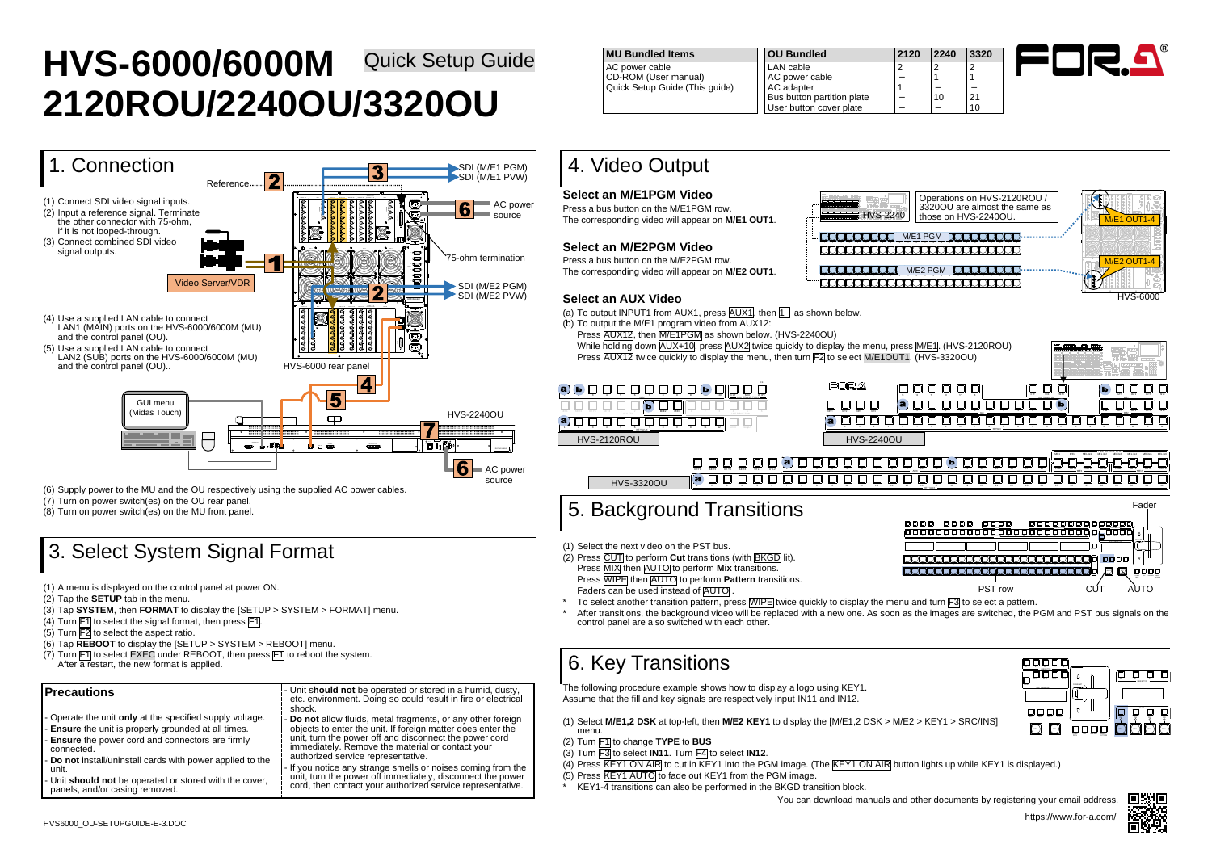

| 0 | 2240           | 3320            |
|---|----------------|-----------------|
|   | $\overline{c}$ | $\overline{c}$  |
|   |                |                 |
|   |                |                 |
|   | 10             | $\frac{21}{10}$ |
|   |                |                 |



# **HVS-6000/6000M** Quick Setup Guide **2120ROU/2240OU/3320OU**

- (1) A menu is displayed on the control panel at power ON.
- (2) Tap the **SETUP** tab in the menu.
- (3) Tap **SYSTEM**, then **FORMAT** to display the [SETUP > SYSTEM > FORMAT] menu.
- (4) Turn  $\mathsf{F1}$  to select the signal format, then press  $\mathsf{F1}$ .
- (5) Turn  $\overline{F2}$  to select the aspect ratio.
- (6) Tap **REBOOT** to display the [SETUP > SYSTEM > REBOOT] menu.
- (7) Turn  $\mathsf{[F1]}$  to select EXEC under REBOOT, then press  $\mathsf{[F1]}$  to reboot the system. After a restart, the new format is applied.

(6) Supply power to the MU and the OU respectively using the supplied AC power cables.

- (7) Turn on power switch(es) on the OU rear panel.
- (8) Turn on power switch(es) on the MU front panel.

## 3. Select System Signal Format

- (b) To output the M/E1 program video from AUX12:
	- Press AUX12, then M/E1PGM as shown below. (HVS-2240OU) While holding down  $\overline{AUX+10}$ , press  $\overline{AUX2}$  twice quickly to display the menu, press  $\overline{M/E1}$ . (HVS-2120ROU) Press  $\overline{AUX12}$  twice quickly to display the menu, then turn F2 to select M/E1OUT1. (HVS-3320OU)

### **Precautions** - Operate the unit **only** at the specified supply voltage. **Ensure** the unit is properly grounded at all times. - **Ensure** the power cord and connectors are firmly connected. - **Do not** install/uninstall cards with power applied to the unit. - Unit **should not** be operated or stored with the cover, panels, and/or casing removed. - Unit s**hould not** be operated or stored in a humid, dusty, etc. environment. Doing so could result in fire or electrical shock. Do not allow fluids, metal fragments, or any other foreign objects to enter the unit. If foreign matter does enter the unit, turn the power off and disconnect the power cord immediately. Remove the material or contact your authorized service representative. If you notice any strange smells or noises coming from the unit, turn the power off immediately, disconnect the power cord, then contact your authorized service representative.

| MU Bundled Items                                       |
|--------------------------------------------------------|
| AC power cable                                         |
| CD-ROM (User manual)<br>Quick Setup Guide (This guide) |

- (2) Turn F1 to change **TYPE** to **BUS**
- (3) Turn F3 to select **IN11**. Turn F4 to select **IN12**.
- (4) Press **KEY1 ON AIR** to cut in KEY1 into the PGM image. (The KEY1 ON AIR button lights up while KEY1 is displayed.)
- (5) Press **KEY1 AUTO** to fade out KEY1 from the PGM image.
- KEY1-4 transitions can also be performed in the BKGD transition block.

**MU Bundled Items OU Bundled 2120 2240 3320** AC power cable LAN cable 2 2 2 AC power cable AC adapter Bus button partition plate User button cover plate

## 4. Video Output

### **Select an M/E1PGM Video**

Press a bus button on the M/E1PGM row. The corresponding video will appear on **M/E1 OUT1**.

### **Select an M/E2PGM Video**

Press a bus button on the M/E2PGM row. The corresponding video will appear on **M/E2 OUT1**.

### **Select an AUX Video**

(a) To output INPUT1 from AUX1, press  $\overline{AUX1}$ , then  $\overline{11}$  as shown below.



## 5. Background Transitions

(1) Select the next video on the PST bus.

- (2) Press CUT to perform **Cut** transitions (with BKGD lit). Press  $\overline{\text{MIX}}$  then AUTO to perform **Mix** transitions. Press **WIPE** then **AUTO** to perform **Pattern** transitions.
- Faders can be used instead of AUTO
- control panel are also switched with each other.

## 6. Key Transitions

The following procedure example shows how to display a logo using KEY1. Assume that the fill and key signals are respectively input IN11 and IN12.

(1) Select **M/E1,2 DSK** at top-left, then **M/E2 KEY1** to display the [M/E1,2 DSK > M/E2 > KEY1 > SRC/INS] menu.







https://www.for-a.com/ You can download manuals and other documents by registering your email address.